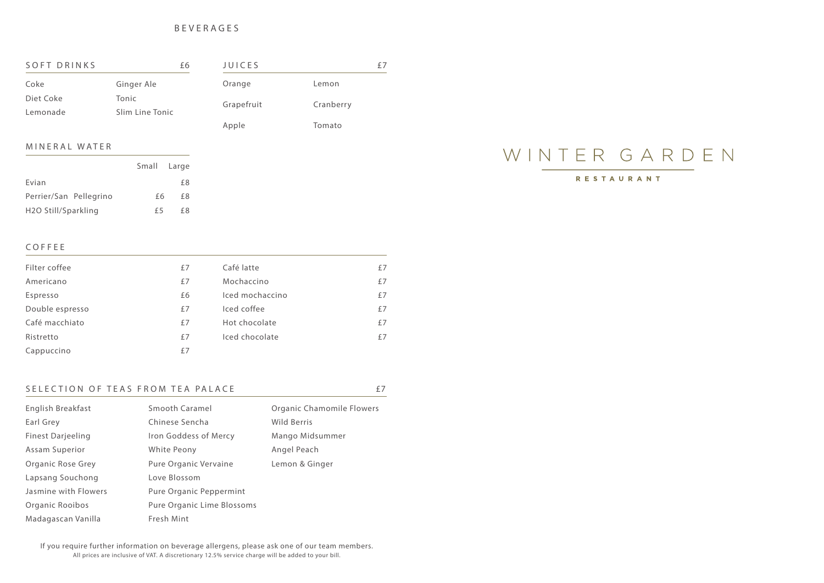BEVERAGES

If you require further information on beverage allergens, please ask one of our team members. All prices are inclusive of VAT. A discretionary 12.5% service charge will be added to your bill.

RESTAURANT

| SOFT DRINKS<br>£6 |                 | <b>JUICES</b> | £.        |  |
|-------------------|-----------------|---------------|-----------|--|
| Coke              | Ginger Ale      | Orange        | Lemon     |  |
| Diet Coke         | Tonic           | Grapefruit    | Cranberry |  |
| Lemonade          | Slim Line Tonic |               |           |  |
|                   |                 | Apple         | Tomato    |  |

## M I N E R A L W A T E R

| Filter coffee   | £7 | Café latte      | £7 |
|-----------------|----|-----------------|----|
| Americano       | £7 | Mochaccino      | £7 |
| Espresso        | £6 | Iced mochaccino | £7 |
| Double espresso | £7 | Iced coffee     | £7 |
| Café macchiato  | £7 | Hot chocolate   | £7 |
| Ristretto       | £7 | Iced chocolate  | £7 |
| Cappuccino      | £7 |                 |    |

## SELECTION OF TEAS FROM TEA PALACE  $E7$

| English Breakfast        | <b>Smooth Caramel</b>          | <b>Organic Chamomile Flowers</b> |
|--------------------------|--------------------------------|----------------------------------|
| Earl Grey                | Chinese Sencha                 | <b>Wild Berris</b>               |
| <b>Finest Darjeeling</b> | Iron Goddess of Mercy          | Mango Midsummer                  |
| <b>Assam Superior</b>    | White Peony                    | Angel Peach                      |
| <b>Organic Rose Grey</b> | Pure Organic Vervaine          | Lemon & Ginger                   |
| Lapsang Souchong         | Love Blossom                   |                                  |
| Jasmine with Flowers     | <b>Pure Organic Peppermint</b> |                                  |
| Organic Rooibos          | Pure Organic Lime Blossoms     |                                  |
| Madagascan Vanilla       | Fresh Mint                     |                                  |

|                                  | Small Large |     |
|----------------------------------|-------------|-----|
| Evian                            |             | f8  |
| Perrier/San Pellegrino           | f6.         | f 8 |
| H <sub>2</sub> O Still/Sparkling | f 5         | f8  |

# WINTER GARDEN

## **COFFEE**